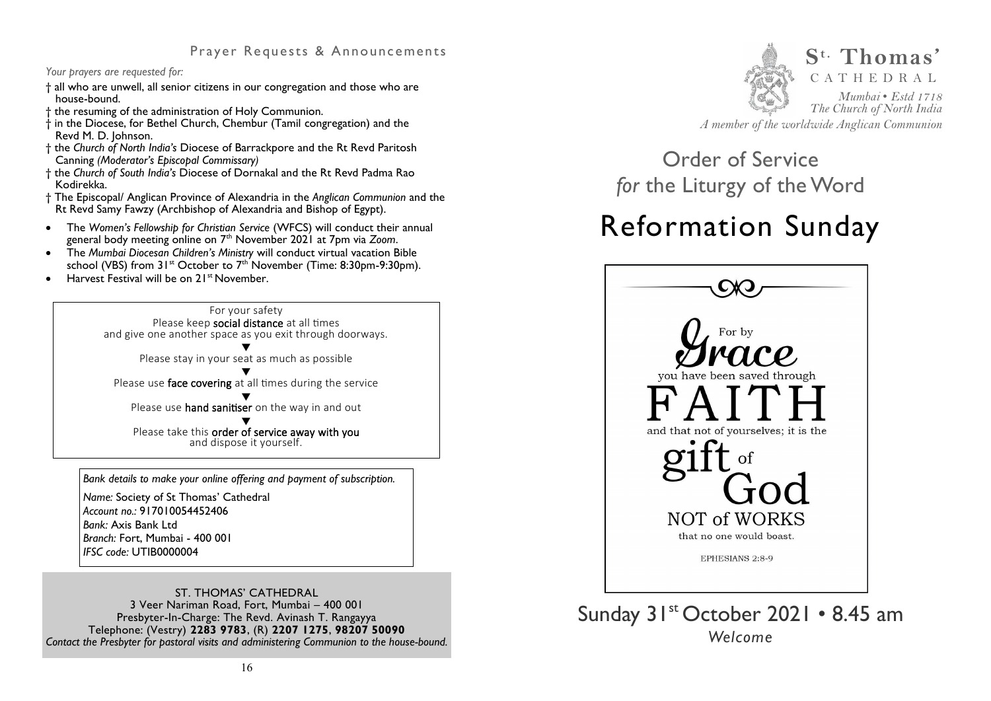## **Prayer Requests & Announcements**

#### *Your prayers are requested for:*

- † all who are unwell, all senior citizens in our congregation and those who are house-bound.
- † the resuming of the administration of Holy Communion.
- † in the Diocese, for Bethel Church, Chembur (Tamil congregation) and the Revd M. D. Johnson.
- † the *Church of North India's* Diocese of Barrackpore and the Rt Revd Paritosh Canning *(Moderator's Episcopal Commissary)*
- † the *Church of South India's* Diocese of [Dornakal](https://en.wikipedia.org/wiki/Diocese_of_Rayalaseema_of_the_Church_of_South_India) and the Rt Revd Padma Rao Kodirekka.
- † The Episcopal/ Anglican Province of Alexandria in the *Anglican Communion* and the Rt Revd Samy Fawzy (Archbishop of Alexandria and Bishop of Egypt).
- The *Women's Fellowship for Christian Service* (WFCS) will conduct their annual general body meeting online on 7th November 2021 at 7pm via *Zoom*.
- The *Mumbai Diocesan Children's Ministry* will conduct virtual vacation Bible school (VBS) from  $31^{st}$  October to  $7^{th}$  November (Time: 8:30pm-9:30pm).
- $\bullet$  Harvest Festival will be on  $21^{st}$  November.



*Bank details to make your online offering and payment of subscription.* 

*Name:* Society of St Thomas' Cathedral *Account no.:* 917010054452406 *Bank:* Axis Bank Ltd *Branch:* Fort, Mumbai - 400 001 *IFSC code:* UTIB0000004

ST. THOMAS' CATHEDRAL 3 Veer Nariman Road, Fort, Mumbai – 400 001 Presbyter-In-Charge: The Revd. Avinash T. Rangayya Telephone: (Vestry) **2283 9783**, (R) **2207 1275**, **98207 50090**  *Contact the Presbyter for pastoral visits and administering Communion to the house-bound.* 



*A member of the worldwide Anglican Communion* 

Order of Service *for* the Liturgy of the Word

# Reformation Sunday



## Sunday 31<sup>st</sup> October 2021 • 8.45 am *Welcome*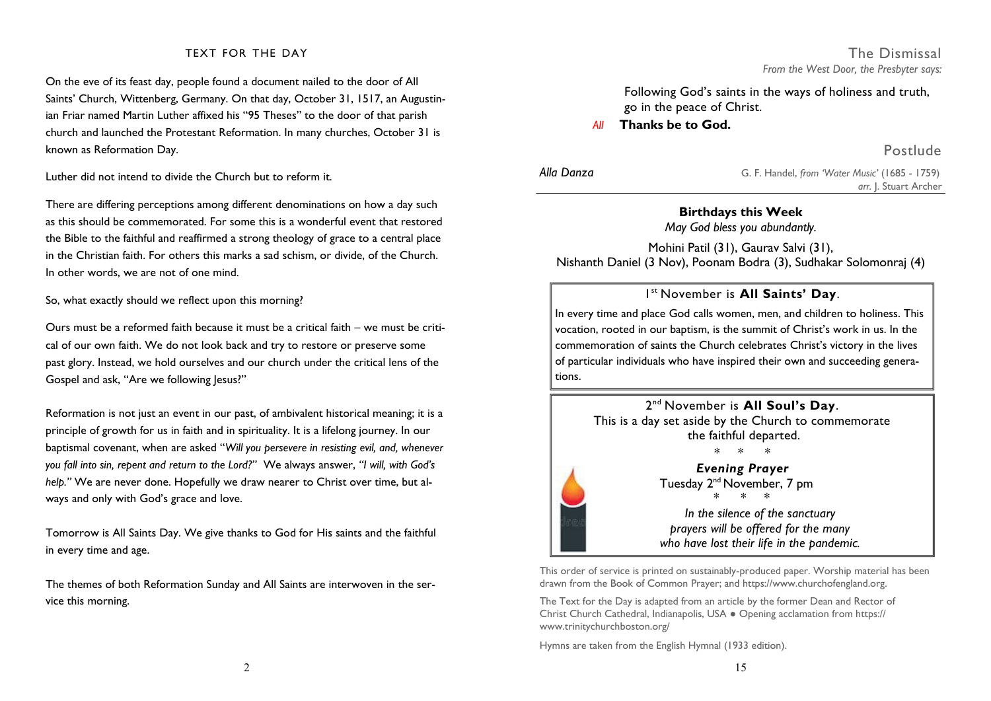#### TEXT FOR THE DAY

On the eve of its feast day, people found a document nailed to the door of All Saints' Church, Wittenberg, Germany. On that day, October 31, 1517, an Augustinian Friar named Martin Luther affixed his "95 Theses" to the door of that parish church and launched the Protestant Reformation. In many churches, October 31 is known as Reformation Day.

Luther did not intend to divide the Church but to reform it.

There are differing perceptions among different denominations on how a day such as this should be commemorated. For some this is a wonderful event that restored the Bible to the faithful and reaffirmed a strong theology of grace to a central place in the Christian faith. For others this marks a sad schism, or divide, of the Church. In other words, we are not of one mind.

So, what exactly should we reflect upon this morning?

Ours must be a reformed faith because it must be a critical faith  $-$  we must be critical of our own faith. We do not look back and try to restore or preserve some past glory. Instead, we hold ourselves and our church under the critical lens of the Gospel and ask, "Are we following Jesus?"

Reformation is not just an event in our past, of ambivalent historical meaning; it is a principle of growth for us in faith and in spirituality. It is a lifelong journey. In our baptismal covenant, when are asked "*Will you persevere in resisting evil, and, whenever you fall into sin, repent and return to the Lord?"* We always answer, *"I will, with God's help."* We are never done. Hopefully we draw nearer to Christ over time, but always and only with God's grace and love.

Tomorrow is All Saints Day. We give thanks to God for His saints and the faithful in every time and age.

The themes of both Reformation Sunday and All Saints are interwoven in the service this morning.

## Following God's saints in the ways of holiness and truth, go in the peace of Christ.

*Thanks be to God.* 

Postlude

| Alla Danza | G. F. Handel, from 'Water Music' (1685 - 1759) |
|------------|------------------------------------------------|
|            | arr. J. Stuart Archer                          |

### **Birthdays this Week**

*May God bless you abundantly.* 

Mohini Patil (31), Gaurav Salvi (31), Nishanth Daniel (3 Nov), Poonam Bodra (3), Sudhakar Solomonraj (4)

## 1 st November is **All Saints' Day**.

In every time and place God calls women, men, and children to holiness. This vocation, rooted in our baptism, is the summit of Christ's work in us. In the commemoration of saints the Church celebrates Christ's victory in the lives of particular individuals who have inspired their own and succeeding generations.



This order of service is printed on sustainably-produced paper. Worship material has been drawn from the Book of Common Prayer; and https://www.churchofengland.org.

The Text for the Day is adapted from an article by the former Dean and Rector of Christ Church Cathedral, Indianapolis, USA ● Opening acclamation from https:// www.trinitychurchboston.org/

Hymns are taken from the English Hymnal (1933 edition).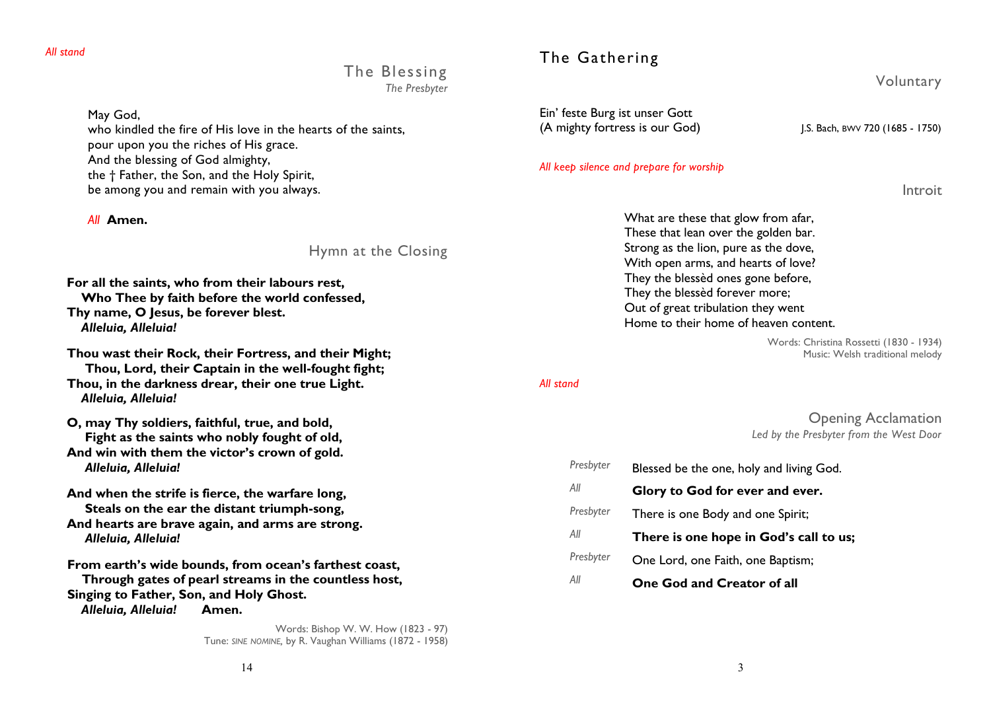The Blessing *The Presbyter* 

May God,

who kindled the fire of His love in the hearts of the saints, pour upon you the riches of His grace. And the blessing of God almighty, the † Father, the Son, and the Holy Spirit, be among you and remain with you always.

*All* **Amen.** 

Hymn at the Closing

**For all the saints, who from their labours rest, Who Thee by faith before the world confessed, Thy name, O Jesus, be forever blest.**   *Alleluia, Alleluia!*

**Thou wast their Rock, their Fortress, and their Might; Thou, Lord, their Captain in the well-fought fight; Thou, in the darkness drear, their one true Light.**   *Alleluia, Alleluia!*

**O, may Thy soldiers, faithful, true, and bold, Fight as the saints who nobly fought of old, And win with them the victor's crown of gold.**   *Alleluia, Alleluia!* 

**And when the strife is fierce, the warfare long, Steals on the ear the distant triumph-song, And hearts are brave again, and arms are strong.**   *Alleluia, Alleluia!* 

 **From earth's wide bounds, from ocean's farthest coast, Through gates of pearl streams in the countless host, Singing to Father, Son, and Holy Ghost.**   *Alleluia, Alleluia!* **Amen.** 

> Words: Bishop W. W. How (1823 - 97) Tune: *SINE NOMINE,* by R. Vaughan Williams (1872 - 1958)

## The Gathering

Voluntary

Ein' feste Burg ist unser Gott (A mighty fortress is our God) J.S. Bach, BWV 720 (1685 - 1750)

#### *All keep silence and prepare for worship*

Introit

What are these that glow from afar, These that lean over the golden bar. Strong as the lion, pure as the dove, With open arms, and hearts of love? They the blessèd ones gone before, They the blessèd forever more; Out of great tribulation they went Home to their home of heaven content.

> Words: Christina Rossetti (1830 - 1934) Music: Welsh traditional melody

#### *All stand*

## Opening Acclamation *Led by the Presbyter from the West Door*

| Presbyter | Blessed be the one, holy and living God. |
|-----------|------------------------------------------|
| All       | Glory to God for ever and ever.          |
| Presbyter | There is one Body and one Spirit;        |
| All       | There is one hope in God's call to us;   |
| Presbyter | One Lord, one Faith, one Baptism;        |
| All       | One God and Creator of all               |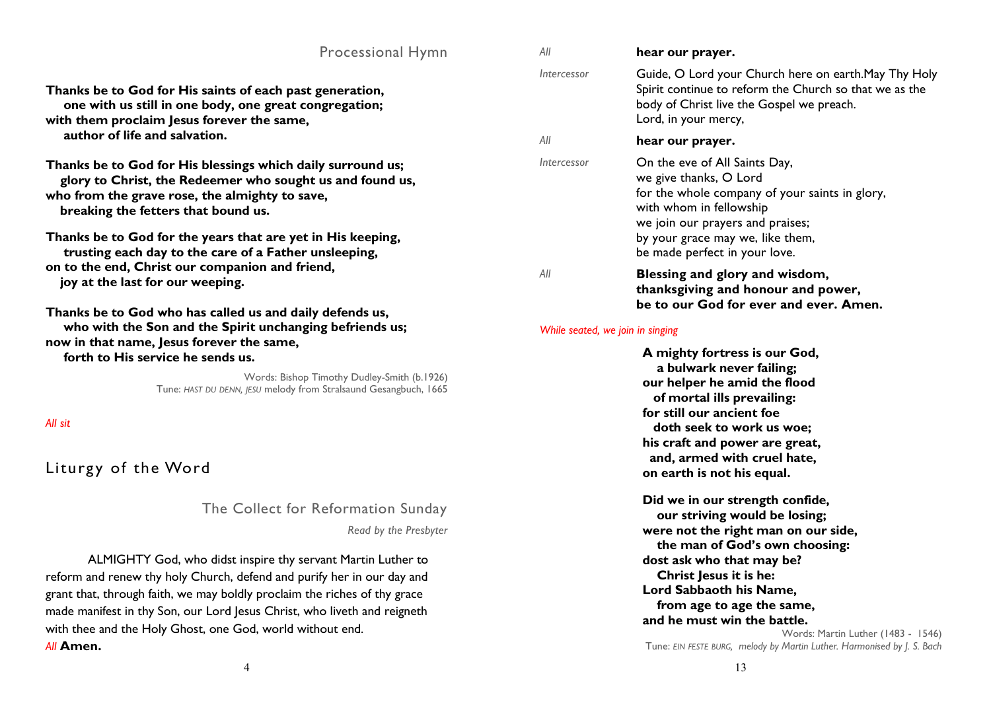| <b>Processional Hymn</b>                                                                                                                                                                                                                                                                                                                  | All                                                                                                                                                                                                                                                     | hear our prayer.                                                                                                                                                                                                                              |  |
|-------------------------------------------------------------------------------------------------------------------------------------------------------------------------------------------------------------------------------------------------------------------------------------------------------------------------------------------|---------------------------------------------------------------------------------------------------------------------------------------------------------------------------------------------------------------------------------------------------------|-----------------------------------------------------------------------------------------------------------------------------------------------------------------------------------------------------------------------------------------------|--|
| Thanks be to God for His saints of each past generation,<br>one with us still in one body, one great congregation;<br>with them proclaim Jesus forever the same,                                                                                                                                                                          | Intercessor                                                                                                                                                                                                                                             | Guide, O Lord your Church here on earth. May Thy Holy<br>Spirit continue to reform the Church so that we as the<br>body of Christ live the Gospel we preach.<br>Lord, in your mercy,                                                          |  |
| author of life and salvation.                                                                                                                                                                                                                                                                                                             | All                                                                                                                                                                                                                                                     | hear our prayer.                                                                                                                                                                                                                              |  |
| Thanks be to God for His blessings which daily surround us;<br>glory to Christ, the Redeemer who sought us and found us,<br>who from the grave rose, the almighty to save,<br>breaking the fetters that bound us.<br>Thanks be to God for the years that are yet in His keeping,<br>trusting each day to the care of a Father unsleeping, | Intercessor                                                                                                                                                                                                                                             | On the eve of All Saints Day,<br>we give thanks, O Lord<br>for the whole company of your saints in glory,<br>with whom in fellowship<br>we join our prayers and praises;<br>by your grace may we, like them,<br>be made perfect in your love. |  |
| on to the end, Christ our companion and friend,<br>joy at the last for our weeping.                                                                                                                                                                                                                                                       | All                                                                                                                                                                                                                                                     | Blessing and glory and wisdom,<br>thanksgiving and honour and power,<br>be to our God for ever and ever. Amen.                                                                                                                                |  |
| Thanks be to God who has called us and daily defends us,<br>who with the Son and the Spirit unchanging befriends us;<br>now in that name, Jesus forever the same,<br>forth to His service he sends us.<br>Words: Bishop Timothy Dudley-Smith (b.1926)<br>Tune: HAST DU DENN, JESU melody from Stralsaund Gesangbuch, 1665<br>All sit      | While seated, we join in singing<br>A mighty fortress is our God,<br>a bulwark never failing;<br>our helper he amid the flood<br>of mortal ills prevailing:<br>for still our ancient foe<br>doth seek to work us woe;<br>his craft and power are great, |                                                                                                                                                                                                                                               |  |
| Liturgy of the Word                                                                                                                                                                                                                                                                                                                       |                                                                                                                                                                                                                                                         | and, armed with cruel hate,<br>on earth is not his equal.                                                                                                                                                                                     |  |
| The Collect for Reformation Sunday                                                                                                                                                                                                                                                                                                        |                                                                                                                                                                                                                                                         | Did we in our strength confide,<br>our striving would be losing;                                                                                                                                                                              |  |
| Read by the Presbyter<br>ALMIGHTY God, who didst inspire thy servant Martin Luther to<br>reform and renew thy holy Church, defend and purify her in our day and                                                                                                                                                                           |                                                                                                                                                                                                                                                         | were not the right man on our side,<br>the man of God's own choosing:<br>dost ask who that may be?<br>Christ Jesus it is he:<br>Lord Sabbaoth his Name,                                                                                       |  |
| grant that, through faith, we may boldly proclaim the riches of thy grace<br>made manifest in thy Son, our Lord Jesus Christ, who liveth and reigneth<br>with thee and the Holy Ghost, one God, world without end.<br>All Amen.                                                                                                           |                                                                                                                                                                                                                                                         | from age to age the same,<br>and he must win the battle.<br>Words: Martin Luther (1483 - 1546)<br>Tune: EIN FESTE BURG, melody by Martin Luther. Harmonised by J. S. Bach                                                                     |  |

4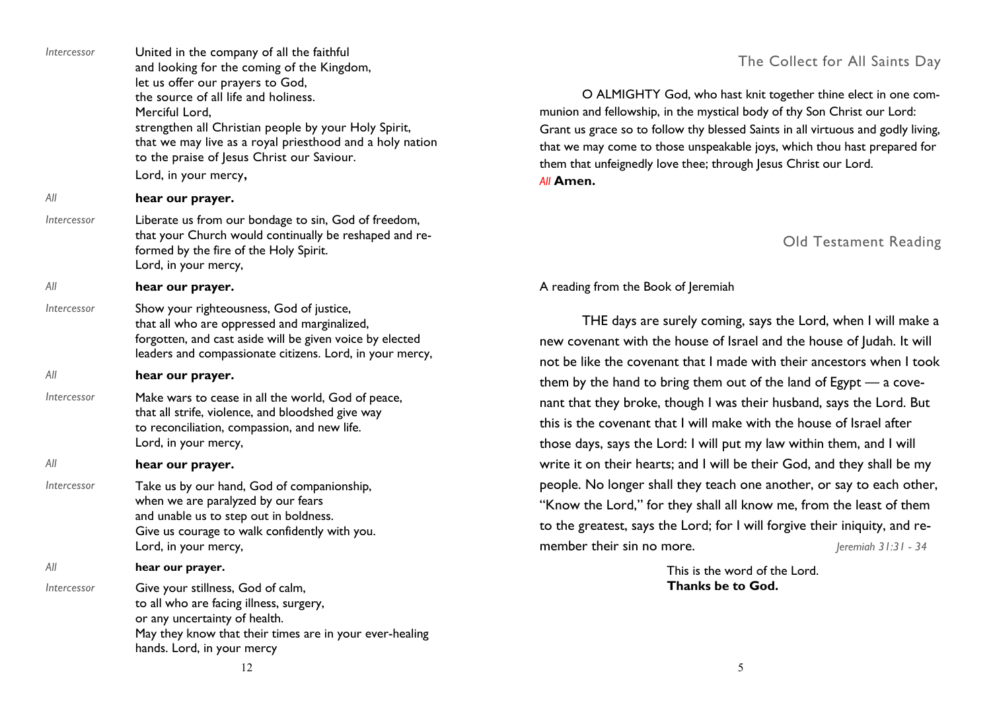| Intercessor        | United in the company of all the faithful<br>and looking for the coming of the Kingdom,<br>let us offer our prayers to God,<br>the source of all life and holiness.<br>Merciful Lord,<br>strengthen all Christian people by your Holy Spirit,<br>that we may live as a royal priesthood and a holy nation<br>to the praise of Jesus Christ our Saviour. |
|--------------------|---------------------------------------------------------------------------------------------------------------------------------------------------------------------------------------------------------------------------------------------------------------------------------------------------------------------------------------------------------|
|                    | Lord, in your mercy,                                                                                                                                                                                                                                                                                                                                    |
| ΑII<br>Intercessor | hear our prayer.<br>Liberate us from our bondage to sin, God of freedom,<br>that your Church would continually be reshaped and re-<br>formed by the fire of the Holy Spirit.<br>Lord, in your mercy,                                                                                                                                                    |
| All                | hear our prayer.                                                                                                                                                                                                                                                                                                                                        |
| Intercessor        | Show your righteousness, God of justice,<br>that all who are oppressed and marginalized,<br>forgotten, and cast aside will be given voice by elected<br>leaders and compassionate citizens. Lord, in your mercy,                                                                                                                                        |
| All                | hear our prayer.                                                                                                                                                                                                                                                                                                                                        |
| Intercessor        | Make wars to cease in all the world, God of peace,<br>that all strife, violence, and bloodshed give way<br>to reconciliation, compassion, and new life.<br>Lord, in your mercy,                                                                                                                                                                         |
| All                | hear our prayer.                                                                                                                                                                                                                                                                                                                                        |
| Intercessor        | Take us by our hand, God of companionship,<br>when we are paralyzed by our fears<br>and unable us to step out in boldness.<br>Give us courage to walk confidently with you.<br>Lord, in your mercy,                                                                                                                                                     |
| All                | hear our prayer.                                                                                                                                                                                                                                                                                                                                        |
| Intercessor        | Give your stillness, God of calm,<br>to all who are facing illness, surgery,<br>or any uncertainty of health.<br>May they know that their times are in your ever-healing<br>hands. Lord, in your mercy                                                                                                                                                  |

## The Collect for All Saints Day

 O ALMIGHTY God, who hast knit together thine elect in one communion and fellowship, in the mystical body of thy Son Christ our Lord: Grant us grace so to follow thy blessed Saints in all virtuous and godly living, that we may come to those unspeakable joys, which thou hast prepared for them that unfeignedly love thee; through Jesus Christ our Lord. *All* **Amen.** 

## Old Testament Reading

## A reading from the Book of Jeremiah

 THE days are surely coming, says the Lord, when I will make a new covenant with the house of Israel and the house of Judah. It will not be like the covenant that I made with their ancestors when I took them by the hand to bring them out of the land of Egypt — a covenant that they broke, though I was their husband, says the Lord. But this is the covenant that I will make with the house of Israel after those days, says the Lord: I will put my law within them, and I will write it on their hearts; and I will be their God, and they shall be my people. No longer shall they teach one another, or say to each other, "Know the Lord," for they shall all know me, from the least of them to the greatest, says the Lord; for I will forgive their iniquity, and remember their sin no more. *Jeremiah 31:31 - 34* 

> This is the word of the Lord. **Thanks be to God.**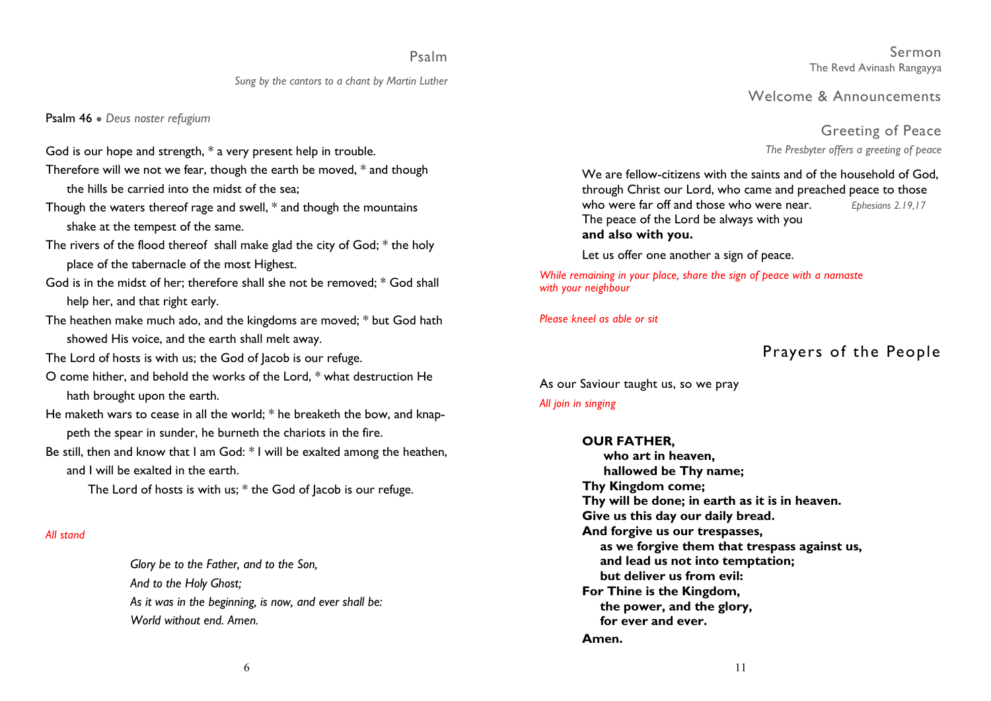## Psalm

#### *Sung by the cantors to a chant by Martin Luther*

Psalm 46 ● *Deus noster refugium* 

- God is our hope and strength, \* a very present help in trouble.
- Therefore will we not we fear, though the earth be moved, \* and though the hills be carried into the midst of the sea;
- Though the waters thereof rage and swell, \* and though the mountains shake at the tempest of the same.
- The rivers of the flood thereof shall make glad the city of God; \* the holy place of the tabernacle of the most Highest.
- God is in the midst of her; therefore shall she not be removed; \* God shall help her, and that right early.
- The heathen make much ado, and the kingdoms are moved; \* but God hath showed His voice, and the earth shall melt away.
- The Lord of hosts is with us; the God of Jacob is our refuge.
- O come hither, and behold the works of the Lord, \* what destruction He hath brought upon the earth.
- He maketh wars to cease in all the world; \* he breaketh the bow, and knappeth the spear in sunder, he burneth the chariots in the fire.
- Be still, then and know that I am God: \* I will be exalted among the heathen, and I will be exalted in the earth.
	- The Lord of hosts is with us; \* the God of Jacob is our refuge.

#### *All stand*

*Glory be to the Father, and to the Son, And to the Holy Ghost; As it was in the beginning, is now, and ever shall be: World without end. Amen.* 

Sermon The Revd Avinash Rangayya

Welcome & Announcements

Greeting of Peace *The Presbyter offers a greeting of peace* 

 We are fellow-citizens with the saints and of the household of God, through Christ our Lord, who came and preached peace to those who were far off and those who were near. *Ephesians 2.19,17*  The peace of the Lord be always with you  **and also with you.** 

Let us offer one another a sign of peace.

*While remaining in your place, share the sign of peace with a namaste with your neighbour*

*Please kneel as able or sit* 

## Prayers of the People

As our Saviour taught us, so we pray

#### *All join in singing*

#### **OUR FATHER,**

 **who art in heaven, hallowed be Thy name; Thy Kingdom come; Thy will be done; in earth as it is in heaven. Give us this day our daily bread. And forgive us our trespasses, as we forgive them that trespass against us, and lead us not into temptation; but deliver us from evil: For Thine is the Kingdom, the power, and the glory, for ever and ever. Amen.**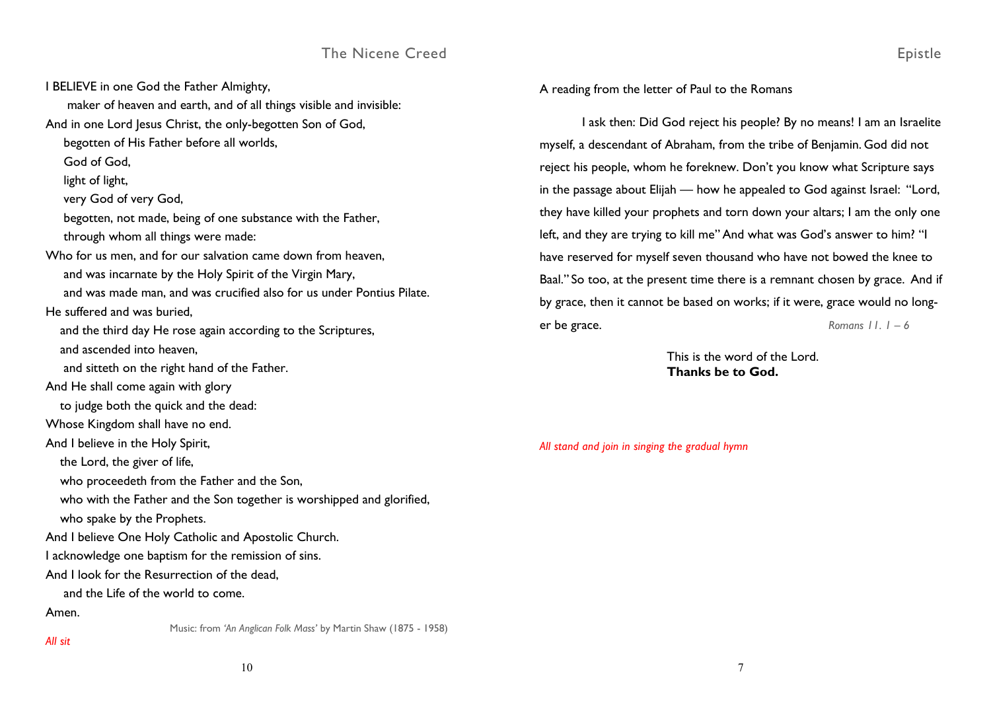I BELIEVE in one God the Father Almighty, maker of heaven and earth, and of all things visible and invisible: And in one Lord Jesus Christ, the only-begotten Son of God, begotten of His Father before all worlds, God of God, light of light, very God of very God, begotten, not made, being of one substance with the Father, through whom all things were made: Who for us men, and for our salvation came down from heaven, and was incarnate by the Holy Spirit of the Virgin Mary, and was made man, and was crucified also for us under Pontius Pilate. He suffered and was buried, and the third day He rose again according to the Scriptures, and ascended into heaven, and sitteth on the right hand of the Father. And He shall come again with glory to judge both the quick and the dead: Whose Kingdom shall have no end. And I believe in the Holy Spirit, the Lord, the giver of life, who proceedeth from the Father and the Son, who with the Father and the Son together is worshipped and glorified, who spake by the Prophets. And I believe One Holy Catholic and Apostolic Church. I acknowledge one baptism for the remission of sins. And I look for the Resurrection of the dead, and the Life of the world to come. Amen. Music: from *'An Anglican Folk Mass'* by Martin Shaw (1875 - 1958)

A reading from the letter of Paul to the Romans

I ask then: Did God reject his people? By no means! I am an Israelite myself, a descendant of Abraham, from the tribe of Benjamin. God did not reject his people, whom he foreknew. Don't you know what Scripture says in the passage about Elijah — how he appealed to God against Israel: "Lord, they have killed your prophets and torn down your altars; I am the only one left, and they are trying to kill me" And what was God's answer to him? "I have reserved for myself seven thousand who have not bowed the knee to Baal." So too, at the present time there is a remnant chosen by grace. And if by grace, then it cannot be based on works; if it were, grace would no longer be grace. *Romans 11. 1 – 6* 

> This is the word of the Lord. **Thanks be to God.**

> > 7

*All stand and join in singing the gradual hymn* 

*All sit*